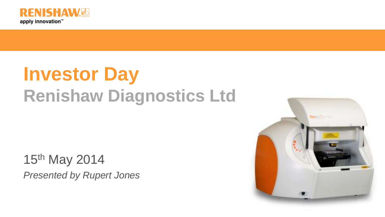

# **Investor Day Renishaw Diagnostics Ltd**

15th May 2014 *Presented by Rupert Jones* 

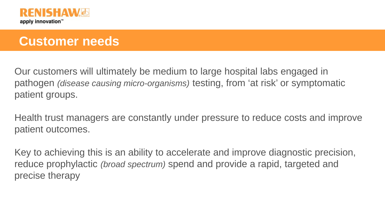

### **Customer needs**

Our customers will ultimately be medium to large hospital labs engaged in pathogen *(disease causing micro-organisms)* testing, from 'at risk' or symptomatic patient groups.

Health trust managers are constantly under pressure to reduce costs and improve patient outcomes.

Key to achieving this is an ability to accelerate and improve diagnostic precision, reduce prophylactic *(broad spectrum)* spend and provide a rapid, targeted and precise therapy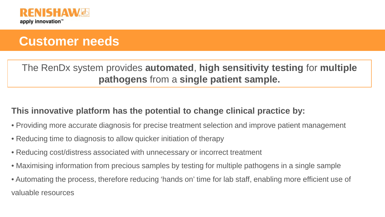

### **Customer needs**

The RenDx system provides **automated**, **high sensitivity testing** for **multiple pathogens** from a **single patient sample.** 

#### **This innovative platform has the potential to change clinical practice by:**

- Providing more accurate diagnosis for precise treatment selection and improve patient management
- Reducing time to diagnosis to allow quicker initiation of therapy
- Reducing cost/distress associated with unnecessary or incorrect treatment
- Maximising information from precious samples by testing for multiple pathogens in a single sample
- Automating the process, therefore reducing 'hands on' time for lab staff, enabling more efficient use of valuable resources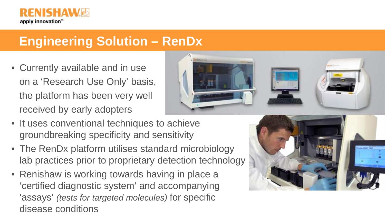

### **Engineering Solution – RenDx**

• Currently available and in use on a 'Research Use Only' basis, the platform has been very well received by early adopters



- It uses conventional techniques to achieve groundbreaking specificity and sensitivity
- The RenDx platform utilises standard microbiology lab practices prior to proprietary detection technology
- Renishaw is working towards having in place a 'certified diagnostic system' and accompanying 'assays' *(tests for targeted molecules)* for specific disease conditions

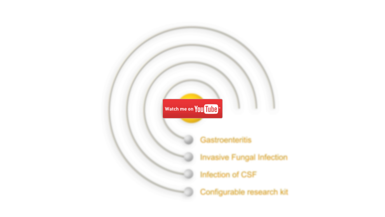Watch me on You Tube<sup>\*</sup>

Gastroenteritis

**Invasive Fungal Infection** 

**Infection of CSF** 

Configurable research kit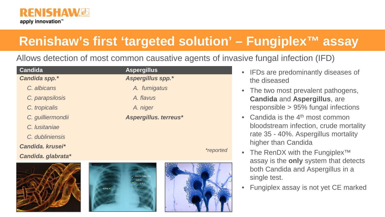

# **Renishaw's first 'targeted solution' – Fungiplex™ assay**

Allows detection of most common causative agents of invasive fungal infection (IFD)

| Candida            | <b>Aspergillus</b>    |  |
|--------------------|-----------------------|--|
| Candida spp.*      | Aspergillus spp.*     |  |
| C. albicans        | A. fumigatus          |  |
| C. parapsilosis    | A. flavus             |  |
| C. tropicalis      | A. niger              |  |
| C. guilliermondii  | Aspergillus. terreus* |  |
| C. Iusitaniae      |                       |  |
| C. dubliniensis    |                       |  |
| Candida, krusei*   | <i>*reported</i>      |  |
| Candida. glabrata* |                       |  |
|                    | <b>EXPLANATION</b>    |  |







- IFDs are predominantly diseases of the diseased
- The two most prevalent pathogens, **Candida** and **Aspergillus**, are responsible > 95% fungal infections
- Candida is the  $4<sup>th</sup>$  most common bloodstream infection, crude mortality rate 35 - 40%. Aspergillus mortality higher than Candida
- The RenDX with the Fungiplex<sup>™</sup> assay is the **only** system that detects both Candida and Aspergillus in a single test.
- Fungiplex assay is not yet CE marked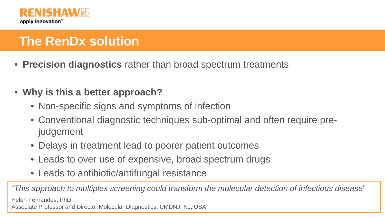

# **The RenDx solution**

- **Precision diagnostics** rather than broad spectrum treatments
- **Why is this a better approach?**
	- Non-specific signs and symptoms of infection
	- Conventional diagnostic techniques sub-optimal and often require prejudgement
	- Delays in treatment lead to poorer patient outcomes
	- Leads to over use of expensive, broad spectrum drugs
	- Leads to antibiotic/antifungal resistance

"*This approach to multiplex screening could transform the molecular detection of infectious disease*" Helen Fernandes, PhD Associate Professor and Director Molecular Diagnostics, UMDNJ, NJ, USA